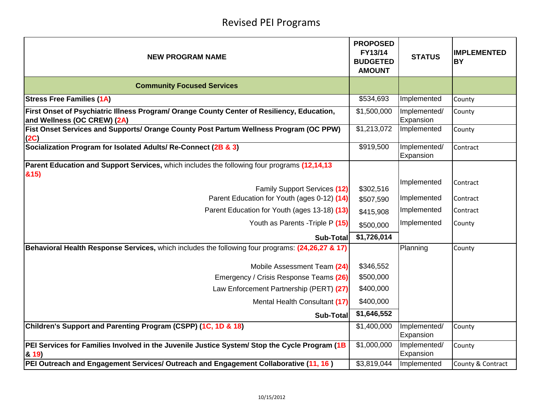## Revised PEI Programs

| <b>NEW PROGRAM NAME</b>                                                                                                   | <b>PROPOSED</b><br>FY13/14<br><b>BUDGETED</b><br><b>AMOUNT</b> | <b>STATUS</b>             | <b>IMPLEMENTED</b><br><b>BY</b> |
|---------------------------------------------------------------------------------------------------------------------------|----------------------------------------------------------------|---------------------------|---------------------------------|
| <b>Community Focused Services</b>                                                                                         |                                                                |                           |                                 |
| <b>Stress Free Families (1A)</b>                                                                                          | \$534,693                                                      | Implemented               | County                          |
| First Onset of Psychiatric Illness Program/ Orange County Center of Resiliency, Education,<br>and Wellness (OC CREW) (2A) | \$1,500,000                                                    | Implemented/<br>Expansion | County                          |
| Fist Onset Services and Supports/ Orange County Post Partum Wellness Program (OC PPW)<br>(2C)                             | \$1,213,072                                                    | Implemented               | County                          |
| Socialization Program for Isolated Adults/ Re-Connect (2B & 3)                                                            | \$919,500                                                      | Implemented/<br>Expansion | Contract                        |
| Parent Education and Support Services, which includes the following four programs (12,14,13                               |                                                                |                           |                                 |
| &15)<br>Family Support Services (12)                                                                                      | \$302,516                                                      | Implemented               | Contract                        |
| Parent Education for Youth (ages 0-12) (14)                                                                               | \$507,590                                                      | Implemented               | Contract                        |
| Parent Education for Youth (ages 13-18) (13)                                                                              | \$415,908                                                      | Implemented               | Contract                        |
| Youth as Parents - Triple P (15)                                                                                          | \$500,000                                                      | Implemented               | County                          |
| <b>Sub-Total</b>                                                                                                          | \$1,726,014                                                    |                           |                                 |
| Behavioral Health Response Services, which includes the following four programs: (24,26,27 & 17)                          |                                                                | Planning                  | County                          |
| Mobile Assessment Team (24)                                                                                               | \$346,552                                                      |                           |                                 |
| Emergency / Crisis Response Teams (26)                                                                                    | \$500,000                                                      |                           |                                 |
| Law Enforcement Partnership (PERT) (27)                                                                                   | \$400,000                                                      |                           |                                 |
| Mental Health Consultant (17)                                                                                             | \$400,000                                                      |                           |                                 |
| Sub-Total                                                                                                                 | \$1,646,552                                                    |                           |                                 |
| Children's Support and Parenting Program (CSPP) (1C, 1D & 18)                                                             | \$1,400,000                                                    | Implemented/<br>Expansion | County                          |
| PEI Services for Families Involved in the Juvenile Justice System/ Stop the Cycle Program (1B<br>8.19                     | \$1,000,000                                                    | Implemented/<br>Expansion | County                          |
| PEI Outreach and Engagement Services/ Outreach and Engagement Collaborative (11, 16)                                      | \$3,819,044                                                    | Implemented               | County & Contract               |